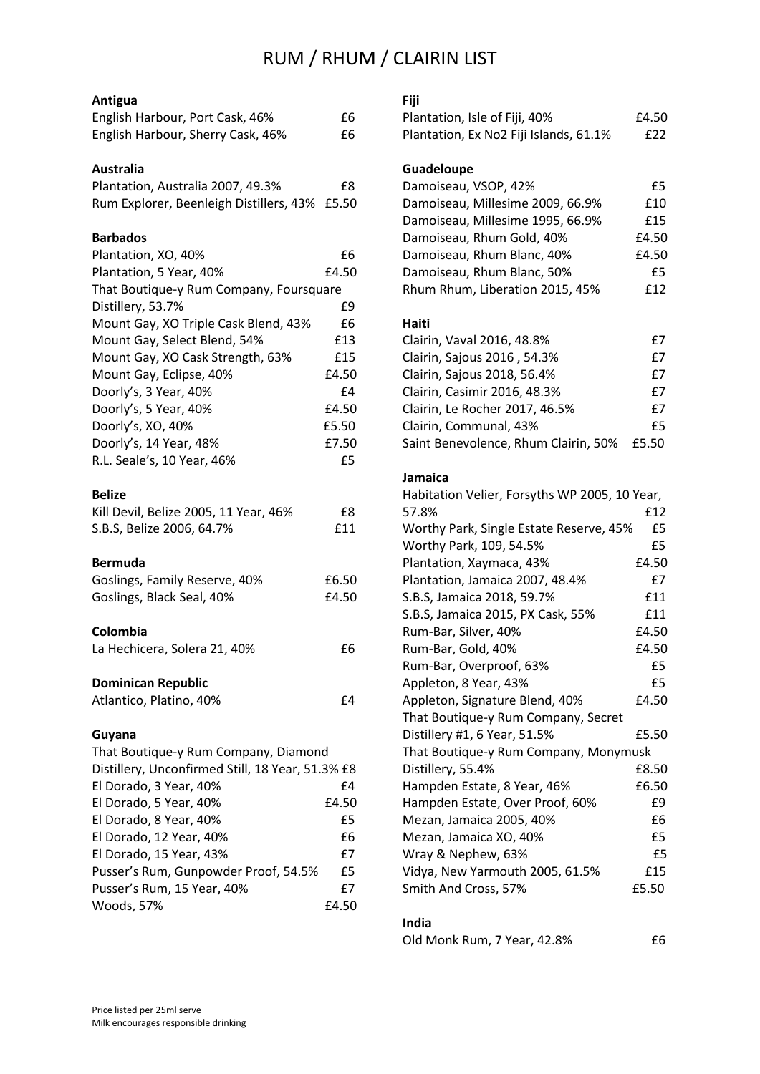## RUM / RHUM / CLAIRIN LIST

## **Antigua**

| English Harbour, Port Cask, 46%   | £6 |
|-----------------------------------|----|
| English Harbour, Sherry Cask, 46% | £6 |

#### **Australia**

| Plantation, Australia 2007, 49.3%             | £8 |
|-----------------------------------------------|----|
| Rum Explorer, Beenleigh Distillers, 43% £5.50 |    |

### **Barbados**

| Plantation, XO, 40%                              | £6    |
|--------------------------------------------------|-------|
| Plantation, 5 Year, 40%                          | £4.50 |
| That Boutique-y Rum Company, Foursquare          |       |
| Distillery, 53.7%                                | £9    |
| Mount Gay, XO Triple Cask Blend, 43%             | £6    |
| Mount Gay, Select Blend, 54%                     | £13   |
| Mount Gay, XO Cask Strength, 63%                 | £15   |
| Mount Gay, Eclipse, 40%                          | £4.50 |
| Doorly's, 3 Year, 40%                            | £4    |
| Doorly's, 5 Year, 40%                            | £4.50 |
| Doorly's, XO, 40%                                | £5.50 |
| Doorly's, 14 Year, 48%                           | £7.50 |
| R.L. Seale's, 10 Year, 46%                       | £5    |
| <b>Belize</b>                                    |       |
| Kill Devil, Belize 2005, 11 Year, 46%            | £8    |
| S.B.S, Belize 2006, 64.7%                        | £11   |
| <b>Bermuda</b>                                   |       |
| Goslings, Family Reserve, 40%                    | £6.50 |
| Goslings, Black Seal, 40%                        | £4.50 |
| Colombia                                         |       |
| La Hechicera, Solera 21, 40%                     | £6    |
| <b>Dominican Republic</b>                        |       |
| Atlantico, Platino, 40%                          | £4    |
| Guyana                                           |       |
| That Boutique-y Rum Company, Diamond             |       |
| Distillery, Unconfirmed Still, 18 Year, 51.3% £8 |       |
| El Dorado, 3 Year, 40%                           | £4    |
| El Dorado, 5 Year, 40%                           | £4.50 |
| El Dorado, 8 Year, 40%                           | £5    |

El Dorado, 12 Year, 40% **El Dorado**, 12 Year, 40% El Dorado, 15 Year, 43% **El Dorado**, 15 Year, 43% Pusser's Rum, Gunpowder Proof, 54.5% £5 Pusser's Rum, 15 Year, 40% **E7** Woods, 57% £4.50

| Fiji                                          |       |
|-----------------------------------------------|-------|
| Plantation, Isle of Fiji, 40%                 | £4.50 |
| Plantation, Ex No2 Fiji Islands, 61.1%        | £22   |
| Guadeloupe                                    |       |
| Damoiseau, VSOP, 42%                          | £5    |
| Damoiseau, Millesime 2009, 66.9%              | £10   |
| Damoiseau, Millesime 1995, 66.9%              | £15   |
| Damoiseau, Rhum Gold, 40%                     | £4.50 |
| Damoiseau, Rhum Blanc, 40%                    | £4.50 |
| Damoiseau, Rhum Blanc, 50%                    | £5    |
| Rhum Rhum, Liberation 2015, 45%               | £12   |
| Haiti                                         |       |
| Clairin, Vaval 2016, 48.8%                    | £7    |
| Clairin, Sajous 2016, 54.3%                   | £7    |
| Clairin, Sajous 2018, 56.4%                   | £7    |
| Clairin, Casimir 2016, 48.3%                  | £7    |
| Clairin, Le Rocher 2017, 46.5%                | £7    |
| Clairin, Communal, 43%                        | £5    |
| Saint Benevolence, Rhum Clairin, 50%          | £5.50 |
| Jamaica                                       |       |
| Habitation Velier, Forsyths WP 2005, 10 Year, |       |
| 57.8%                                         | £12   |
| Worthy Park, Single Estate Reserve, 45%       | £5    |
| Worthy Park 109 54 5%                         | £5.   |

| Worthy Park, Single Estate Reserve, 45% | £5    |
|-----------------------------------------|-------|
| Worthy Park, 109, 54.5%                 | £5    |
| Plantation, Xaymaca, 43%                | £4.50 |
| Plantation, Jamaica 2007, 48.4%         | £7    |
| S.B.S, Jamaica 2018, 59.7%              | £11   |
| S.B.S, Jamaica 2015, PX Cask, 55%       | £11   |
| Rum-Bar, Silver, 40%                    | £4.50 |
| Rum-Bar, Gold, 40%                      | £4.50 |
| Rum-Bar, Overproof, 63%                 | £5    |
| Appleton, 8 Year, 43%                   | £5    |
| Appleton, Signature Blend, 40%          | £4.50 |
| That Boutique-y Rum Company, Secret     |       |
| Distillery #1, 6 Year, 51.5%            | £5.50 |
| That Boutique-y Rum Company, Monymusk   |       |
| Distillery, 55.4%                       | £8.50 |
| Hampden Estate, 8 Year, 46%             | £6.50 |
| Hampden Estate, Over Proof, 60%         | £9    |
| Mezan, Jamaica 2005, 40%                | £6    |
| Mezan, Jamaica XO, 40%                  | £5    |
| Wray & Nephew, 63%                      | £5    |
| Vidya, New Yarmouth 2005, 61.5%         | £15   |
| Smith And Cross, 57%                    | £5.50 |

#### **India**

| Old Monk Rum, 7 Year, 42.8% | £6 |
|-----------------------------|----|
|-----------------------------|----|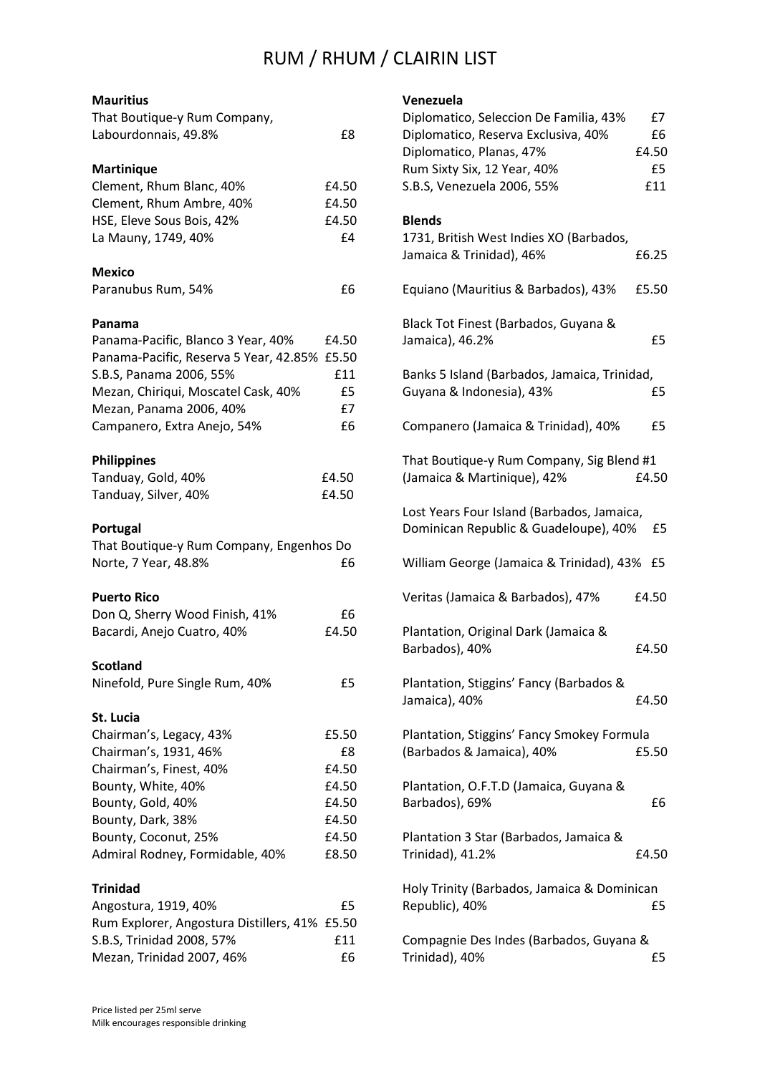# RUM / RHUM / CLAIRIN LIST

## **Mauritius**

| That Boutique-y Rum Company,<br>Labourdonnais, 49.8% | £8          |
|------------------------------------------------------|-------------|
|                                                      |             |
| <b>Martinique</b>                                    |             |
| Clement, Rhum Blanc, 40%                             | £4.50       |
| Clement, Rhum Ambre, 40%                             | £4.50       |
| HSE, Eleve Sous Bois, 42%                            | £4.50       |
| La Mauny, 1749, 40%                                  | £4          |
| <b>Mexico</b>                                        |             |
| Paranubus Rum, 54%                                   | £6          |
| Panama                                               |             |
| Panama-Pacific, Blanco 3 Year, 40%                   | £4.50       |
| Panama-Pacific, Reserva 5 Year, 42.85%               | £5.50       |
| S.B.S, Panama 2006, 55%                              | £11         |
| Mezan, Chiriqui, Moscatel Cask, 40%                  | £5          |
| Mezan, Panama 2006, 40%                              | £7          |
| Campanero, Extra Anejo, 54%                          | £6          |
| <b>Philippines</b>                                   |             |
| Tanduay, Gold, 40%                                   | £4.50       |
| Tanduay, Silver, 40%                                 | £4.50       |
| Portugal                                             |             |
| That Boutique-y Rum Company, Engenhos Do             |             |
| Norte, 7 Year, 48.8%                                 | £6          |
| <b>Puerto Rico</b>                                   |             |
| Don Q, Sherry Wood Finish, 41%                       | £6          |
| Bacardi, Anejo Cuatro, 40%                           | £4.50       |
| <b>Scotland</b>                                      |             |
| Ninefold, Pure Single Rum, 40%                       | £5          |
| St. Lucia                                            |             |
| Chairman's, Legacy, 43%                              | £5.50       |
| Chairman's, 1931, 46%                                | £8          |
| Chairman's, Finest, 40%                              | £4.50       |
| Bounty, White, 40%                                   | £4.50       |
| Bounty, Gold, 40%                                    | £4.50       |
| Bounty, Dark, 38%                                    | £4.50       |
| Bounty, Coconut, 25%                                 | £4.50       |
| Admiral Rodney, Formidable, 40%                      | £8.50       |
| <b>Trinidad</b>                                      |             |
| Angostura, 1919, 40%                                 |             |
|                                                      |             |
| Rum Explorer, Angostura Distillers, 41%              | £5<br>£5.50 |

## **Venezuela**

| Diplomatico, Seleccion De Familia, 43%                                              | £7          |
|-------------------------------------------------------------------------------------|-------------|
| Diplomatico, Reserva Exclusiva, 40%<br>Diplomatico, Planas, 47%                     | £6<br>£4.50 |
| Rum Sixty Six, 12 Year, 40%                                                         | £5          |
| S.B.S, Venezuela 2006, 55%                                                          | £11         |
|                                                                                     |             |
| <b>Blends</b>                                                                       |             |
| 1731, British West Indies XO (Barbados,                                             |             |
| Jamaica & Trinidad), 46%                                                            | £6.25       |
| Equiano (Mauritius & Barbados), 43%                                                 | £5.50       |
| Black Tot Finest (Barbados, Guyana &                                                |             |
| Jamaica), 46.2%                                                                     | £5          |
| Banks 5 Island (Barbados, Jamaica, Trinidad,                                        |             |
| Guyana & Indonesia), 43%                                                            | £5          |
|                                                                                     |             |
| Companero (Jamaica & Trinidad), 40%                                                 | £5          |
| That Boutique-y Rum Company, Sig Blend #1                                           |             |
| (Jamaica & Martinique), 42%                                                         | £4.50       |
|                                                                                     |             |
| Lost Years Four Island (Barbados, Jamaica,<br>Dominican Republic & Guadeloupe), 40% | £5          |
|                                                                                     |             |
| William George (Jamaica & Trinidad), 43%                                            | £5          |
| Veritas (Jamaica & Barbados), 47%                                                   | £4.50       |
| Plantation, Original Dark (Jamaica &                                                |             |
| Barbados), 40%                                                                      | £4.50       |
| Plantation, Stiggins' Fancy (Barbados &                                             |             |
| Jamaica), 40%                                                                       | £4.50       |
|                                                                                     |             |
| Plantation, Stiggins' Fancy Smokey Formula                                          |             |
| (Barbados & Jamaica), 40%                                                           | £5.50       |
| Plantation, O.F.T.D (Jamaica, Guyana &                                              |             |
| Barbados), 69%                                                                      | £6          |
|                                                                                     |             |
| Plantation 3 Star (Barbados, Jamaica &<br>Trinidad), 41.2%                          | £4.50       |
|                                                                                     |             |
| Holy Trinity (Barbados, Jamaica & Dominican                                         |             |
| Republic), 40%                                                                      | £5          |
| Compagnie Des Indes (Barbados, Guyana &                                             |             |

Indes (Barbados, Guyana <mark>&</mark> Trinidad), 40% **E5** 

Mezan, Trinidad 2007, 46% **E**6